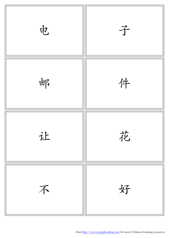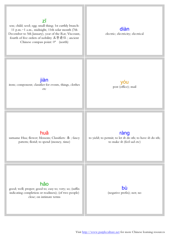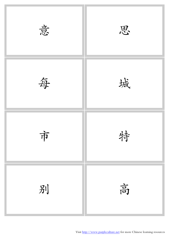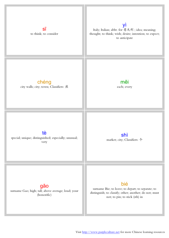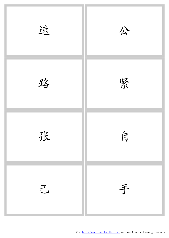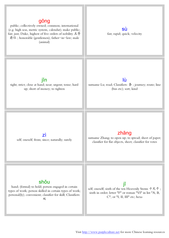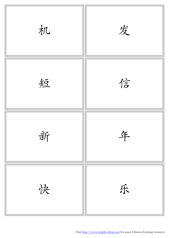